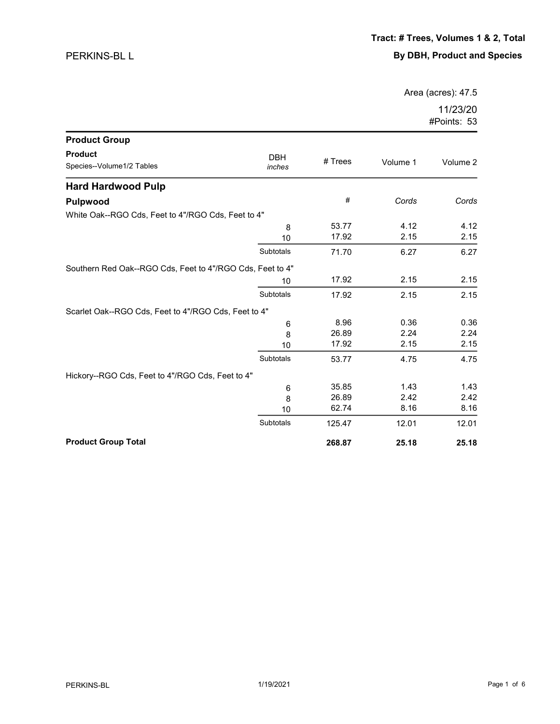Area (acres): 47.5

| <b>Product Group</b>                                      |                      |           |          |          |
|-----------------------------------------------------------|----------------------|-----------|----------|----------|
| <b>Product</b><br>Species--Volume1/2 Tables               | <b>DBH</b><br>inches | $#$ Trees | Volume 1 | Volume 2 |
| <b>Hard Hardwood Pulp</b>                                 |                      |           |          |          |
| <b>Pulpwood</b>                                           |                      | #         | Cords    | Cords    |
| White Oak--RGO Cds, Feet to 4"/RGO Cds, Feet to 4"        |                      |           |          |          |
|                                                           | 8                    | 53.77     | 4.12     | 4.12     |
|                                                           | 10                   | 17.92     | 2.15     | 2.15     |
|                                                           | Subtotals            | 71.70     | 6.27     | 6.27     |
| Southern Red Oak--RGO Cds, Feet to 4"/RGO Cds, Feet to 4" |                      |           |          |          |
|                                                           | 10                   | 17.92     | 2.15     | 2.15     |
|                                                           | Subtotals            | 17.92     | 2.15     | 2.15     |
| Scarlet Oak--RGO Cds, Feet to 4"/RGO Cds, Feet to 4"      |                      |           |          |          |
|                                                           | 6                    | 8.96      | 0.36     | 0.36     |
|                                                           | 8                    | 26.89     | 2.24     | 2.24     |
|                                                           | 10                   | 17.92     | 2.15     | 2.15     |
|                                                           | Subtotals            | 53.77     | 4.75     | 4.75     |
| Hickory--RGO Cds, Feet to 4"/RGO Cds, Feet to 4"          |                      |           |          |          |
|                                                           | $\,6$                | 35.85     | 1.43     | 1.43     |
|                                                           | 8                    | 26.89     | 2.42     | 2.42     |
|                                                           | 10                   | 62.74     | 8.16     | 8.16     |
|                                                           | Subtotals            | 125.47    | 12.01    | 12.01    |
| <b>Product Group Total</b>                                |                      | 268.87    | 25.18    | 25.18    |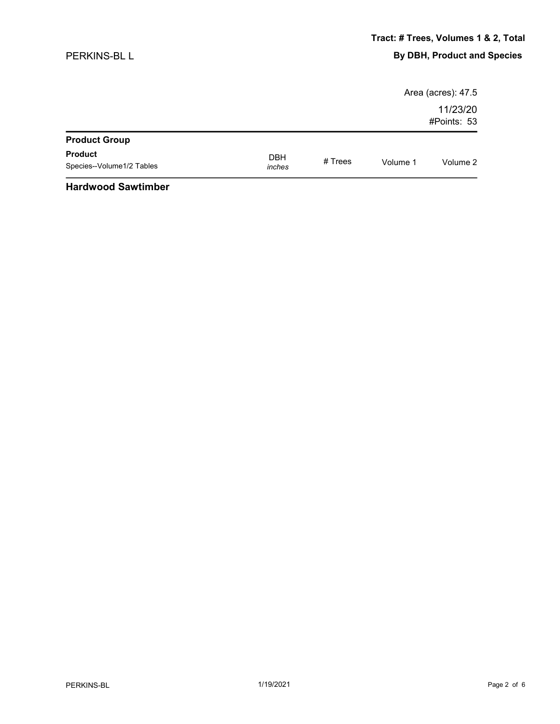## PERKINS-BL L

|                           |            |         |          | Area (acres): 47.5      |
|---------------------------|------------|---------|----------|-------------------------|
|                           |            |         |          | 11/23/20<br>#Points: 53 |
| <b>Product Group</b>      |            |         |          |                         |
| <b>Product</b>            | <b>DBH</b> | # Trees | Volume 1 | Volume 2                |
| Species--Volume1/2 Tables | inches     |         |          |                         |
| $\cdots$                  |            |         |          |                         |

## Hardwood Sawtimber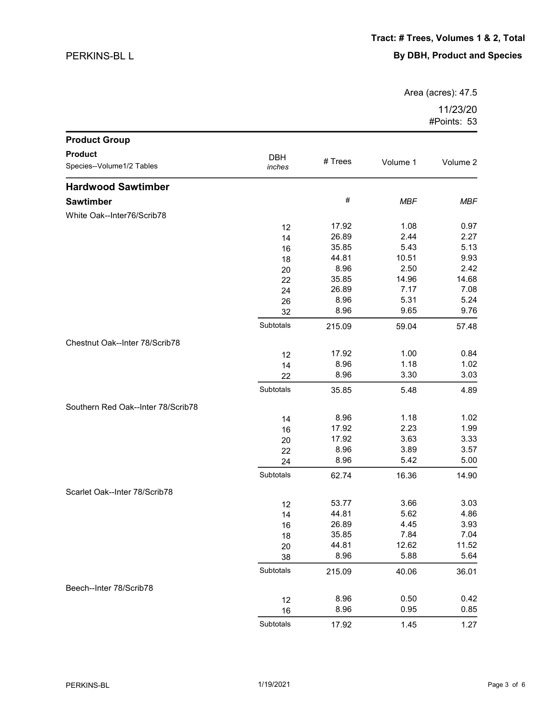## PERKINS-BL L

Area (acres): 47.5

| 11/23/20    |  |
|-------------|--|
| #Points: 53 |  |

| <b>Product Group</b>               |                      |         |            |            |
|------------------------------------|----------------------|---------|------------|------------|
| <b>Product</b>                     |                      |         |            |            |
| Species--Volume1/2 Tables          | <b>DBH</b><br>inches | # Trees | Volume 1   | Volume 2   |
| <b>Hardwood Sawtimber</b>          |                      |         |            |            |
| <b>Sawtimber</b>                   |                      | #       | <b>MBF</b> | <b>MBF</b> |
| White Oak--Inter76/Scrib78         |                      |         |            |            |
|                                    | 12                   | 17.92   | 1.08       | 0.97       |
|                                    | 14                   | 26.89   | 2.44       | 2.27       |
|                                    | 16                   | 35.85   | 5.43       | 5.13       |
|                                    | 18                   | 44.81   | 10.51      | 9.93       |
|                                    | 20                   | 8.96    | 2.50       | 2.42       |
|                                    | 22                   | 35.85   | 14.96      | 14.68      |
|                                    | 24                   | 26.89   | 7.17       | 7.08       |
|                                    | 26                   | 8.96    | 5.31       | 5.24       |
|                                    | 32                   | 8.96    | 9.65       | 9.76       |
|                                    | Subtotals            | 215.09  | 59.04      | 57.48      |
| Chestnut Oak--Inter 78/Scrib78     |                      |         |            |            |
|                                    | 12                   | 17.92   | 1.00       | 0.84       |
|                                    | 14                   | 8.96    | 1.18       | 1.02       |
|                                    | 22                   | 8.96    | 3.30       | 3.03       |
|                                    | Subtotals            | 35.85   | 5.48       | 4.89       |
| Southern Red Oak--Inter 78/Scrib78 |                      |         |            |            |
|                                    | 14                   | 8.96    | 1.18       | 1.02       |
|                                    | 16                   | 17.92   | 2.23       | 1.99       |
|                                    | 20                   | 17.92   | 3.63       | 3.33       |
|                                    | 22                   | 8.96    | 3.89       | 3.57       |
|                                    | 24                   | 8.96    | 5.42       | 5.00       |
|                                    | Subtotals            | 62.74   | 16.36      | 14.90      |
| Scarlet Oak--Inter 78/Scrib78      |                      |         |            |            |
|                                    | 12                   | 53.77   | 3.66       | 3.03       |
|                                    | 14                   | 44.81   | 5.62       | 4.86       |
|                                    | 16                   | 26.89   | 4.45       | 3.93       |
|                                    | 18                   | 35.85   | 7.84       | 7.04       |
|                                    | 20                   | 44.81   | 12.62      | 11.52      |
|                                    | 38                   | 8.96    | 5.88       | 5.64       |
|                                    | Subtotals            | 215.09  | 40.06      | 36.01      |
| Beech--Inter 78/Scrib78            |                      |         |            |            |
|                                    | 12                   | 8.96    | 0.50       | 0.42       |
|                                    | 16                   | 8.96    | 0.95       | 0.85       |
|                                    | Subtotals            | 17.92   | 1.45       | 1.27       |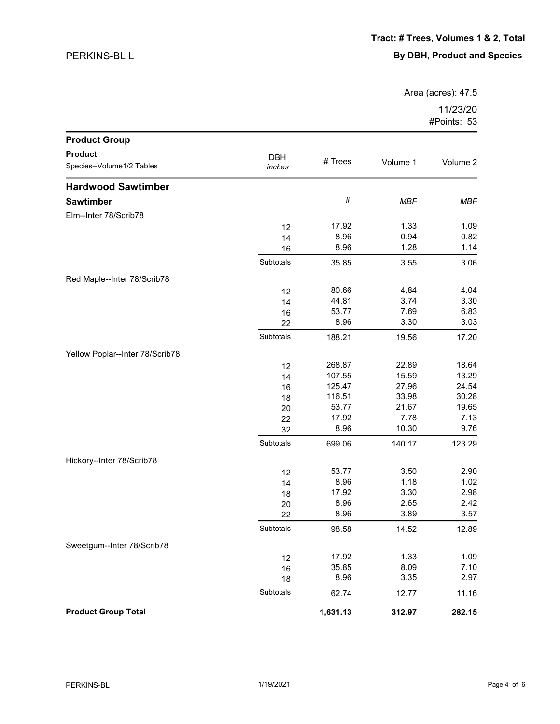## PERKINS-BL L

Area (acres): 47.5

| <b>Product Group</b>            |           |          |            |            |
|---------------------------------|-----------|----------|------------|------------|
| <b>Product</b>                  | DBH       |          |            |            |
| Species--Volume1/2 Tables       | inches    | # Trees  | Volume 1   | Volume 2   |
| <b>Hardwood Sawtimber</b>       |           |          |            |            |
| <b>Sawtimber</b>                |           | #        | <b>MBF</b> | <b>MBF</b> |
| Elm--Inter 78/Scrib78           |           |          |            |            |
|                                 | 12        | 17.92    | 1.33       | 1.09       |
|                                 | 14        | 8.96     | 0.94       | 0.82       |
|                                 | 16        | 8.96     | 1.28       | 1.14       |
|                                 | Subtotals | 35.85    | 3.55       | 3.06       |
| Red Maple--Inter 78/Scrib78     |           |          |            |            |
|                                 | 12        | 80.66    | 4.84       | 4.04       |
|                                 | 14        | 44.81    | 3.74       | 3.30       |
|                                 | 16        | 53.77    | 7.69       | 6.83       |
|                                 | 22        | 8.96     | 3.30       | 3.03       |
|                                 | Subtotals | 188.21   | 19.56      | 17.20      |
| Yellow Poplar--Inter 78/Scrib78 |           |          |            |            |
|                                 | 12        | 268.87   | 22.89      | 18.64      |
|                                 | 14        | 107.55   | 15.59      | 13.29      |
|                                 | 16        | 125.47   | 27.96      | 24.54      |
|                                 | 18        | 116.51   | 33.98      | 30.28      |
|                                 | 20        | 53.77    | 21.67      | 19.65      |
|                                 | 22        | 17.92    | 7.78       | 7.13       |
|                                 | 32        | 8.96     | 10.30      | 9.76       |
|                                 | Subtotals | 699.06   | 140.17     | 123.29     |
| Hickory--Inter 78/Scrib78       |           |          |            |            |
|                                 | 12        | 53.77    | 3.50       | 2.90       |
|                                 | 14        | 8.96     | 1.18       | 1.02       |
|                                 | 18        | 17.92    | 3.30       | 2.98       |
|                                 | 20        | 8.96     | 2.65       | 2.42       |
|                                 | 22        | 8.96     | 3.89       | 3.57       |
|                                 | Subtotals | 98.58    | 14.52      | 12.89      |
| Sweetgum--Inter 78/Scrib78      |           |          |            |            |
|                                 | 12        | 17.92    | 1.33       | 1.09       |
|                                 | 16        | 35.85    | 8.09       | 7.10       |
|                                 | 18        | 8.96     | 3.35       | 2.97       |
|                                 | Subtotals | 62.74    | 12.77      | 11.16      |
| <b>Product Group Total</b>      |           | 1,631.13 | 312.97     | 282.15     |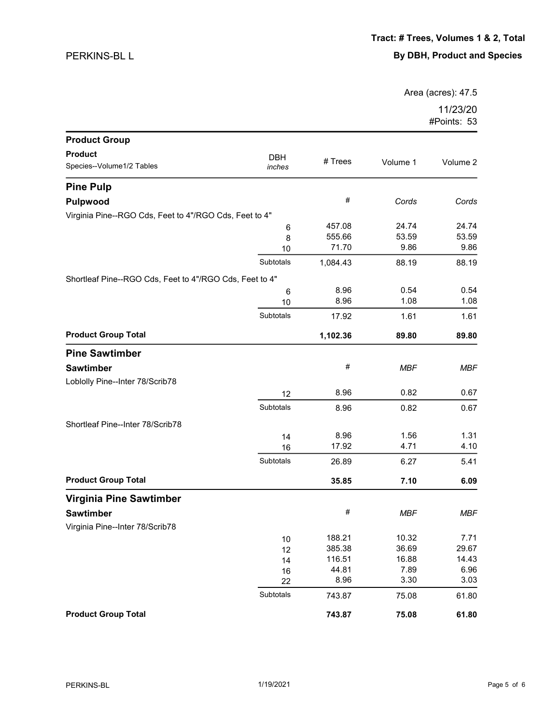Area (acres): 47.5

| <b>Product Group</b>                                    |            |          |            |            |
|---------------------------------------------------------|------------|----------|------------|------------|
| <b>Product</b>                                          | <b>DBH</b> |          |            |            |
| Species--Volume1/2 Tables                               | inches     | # Trees  | Volume 1   | Volume 2   |
| <b>Pine Pulp</b>                                        |            |          |            |            |
| Pulpwood                                                |            | #        | Cords      | Cords      |
| Virginia Pine--RGO Cds, Feet to 4"/RGO Cds, Feet to 4"  |            |          |            |            |
|                                                         | 6          | 457.08   | 24.74      | 24.74      |
|                                                         | 8          | 555.66   | 53.59      | 53.59      |
|                                                         | 10         | 71.70    | 9.86       | 9.86       |
|                                                         | Subtotals  | 1,084.43 | 88.19      | 88.19      |
| Shortleaf Pine--RGO Cds, Feet to 4"/RGO Cds, Feet to 4" |            |          |            |            |
|                                                         | 6          | 8.96     | 0.54       | 0.54       |
|                                                         | 10         | 8.96     | 1.08       | 1.08       |
|                                                         | Subtotals  | 17.92    | 1.61       | 1.61       |
| <b>Product Group Total</b>                              |            | 1,102.36 | 89.80      | 89.80      |
| <b>Pine Sawtimber</b>                                   |            |          |            |            |
| <b>Sawtimber</b>                                        |            | #        | <b>MBF</b> | <b>MBF</b> |
| Loblolly Pine--Inter 78/Scrib78                         |            |          |            |            |
|                                                         | 12         | 8.96     | 0.82       | 0.67       |
|                                                         | Subtotals  | 8.96     | 0.82       | 0.67       |
| Shortleaf Pine--Inter 78/Scrib78                        |            |          |            |            |
|                                                         | 14         | 8.96     | 1.56       | 1.31       |
|                                                         | 16         | 17.92    | 4.71       | 4.10       |
|                                                         | Subtotals  | 26.89    | 6.27       | 5.41       |
| <b>Product Group Total</b>                              |            | 35.85    | 7.10       | 6.09       |
| <b>Virginia Pine Sawtimber</b>                          |            |          |            |            |
| <b>Sawtimber</b>                                        |            | #        | <b>MBF</b> | <b>MBF</b> |
| Virginia Pine--Inter 78/Scrib78                         |            |          |            |            |
|                                                         | $10$       | 188.21   | 10.32      | 7.71       |
|                                                         | 12         | 385.38   | 36.69      | 29.67      |
|                                                         | 14         | 116.51   | 16.88      | 14.43      |
|                                                         | 16         | 44.81    | 7.89       | 6.96       |
|                                                         | 22         | 8.96     | 3.30       | 3.03       |
|                                                         | Subtotals  | 743.87   | 75.08      | 61.80      |
| <b>Product Group Total</b>                              |            | 743.87   | 75.08      | 61.80      |